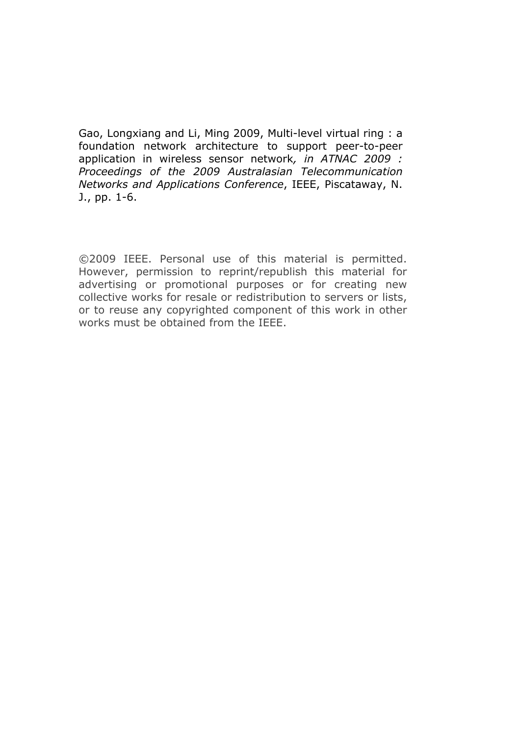Gao, Longxiang and Li, Ming 2009, Multi-level virtual ring : a foundation network architecture to support peer-to-peer application in wireless sensor network*, in ATNAC 2009 : Proceedings of the 2009 Australasian Telecommunication Networks and Applications Conference*, IEEE, Piscataway, N. J., pp. 1-6.

©2009 IEEE. Personal use of this material is permitted. However, permission to reprint/republish this material for advertising or promotional purposes or for creating new collective works for resale or redistribution to servers or lists, or to reuse any copyrighted component of this work in other works must be obtained from the IEEE.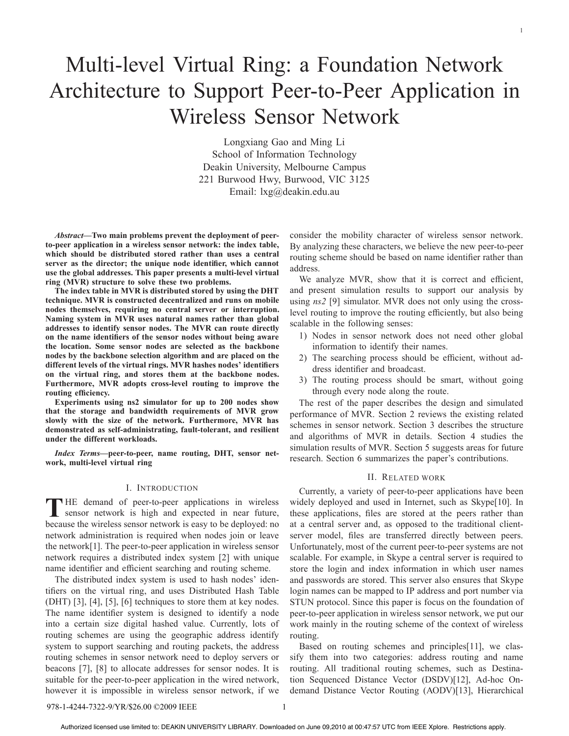# Multi-level Virtual Ring: a Foundation Network Architecture to Support Peer-to-Peer Application in **Wireless Sensor Network**

Longxiang Gao and Ming Li School of Information Technology Deakin University, Melbourne Campus 221 Burwood Hwy, Burwood, VIC 3125 Email: lxg@deakin.edu.au

*Abstract*—Two main problems prevent the deployment of peerto-peer application in a wireless sensor network: the index table, which should be distributed stored rather than uses a central server as the director; the unique node identifier, which cannot use the global addresses. This paper presents a multi-level virtual ring (MVR) structure to solve these two problems.

The index table in MVR is distributed stored by using the DHT technique. MVR is constructed decentralized and runs on mobile nodes themselves, requiring no central server or interruption. Naming system in MVR uses natural names rather than global addresses to identify sensor nodes. The MVR can route directly on the name identifiers of the sensor nodes without being aware the location. Some sensor nodes are selected as the backbone nodes by the backbone selection algorithm and are placed on the different levels of the virtual rings. MVR hashes nodes' identifiers on the virtual ring, and stores them at the backbone nodes. Furthermore, MVR adopts cross-level routing to improve the routing efficiency.

Experiments using ns2 simulator for up to 200 nodes show that the storage and bandwidth requirements of MVR grow slowly with the size of the network. Furthermore, MVR has demonstrated as self-administrating, fault-tolerant, and resilient under the different workloads.

Index Terms-peer-to-peer, name routing, DHT, sensor network, multi-level virtual ring

#### I. INTRODUCTION

THE demand of peer-w-poor upproved in near future,<br>sensor network is high and expected in near future,  $\blacksquare$  HE demand of peer-to-peer applications in wireless because the wireless sensor network is easy to be deployed: no network administration is required when nodes join or leave the network[1]. The peer-to-peer application in wireless sensor network requires a distributed index system [2] with unique name identifier and efficient searching and routing scheme.

The distributed index system is used to hash nodes' identifiers on the virtual ring, and uses Distributed Hash Table (DHT) [3], [4], [5], [6] techniques to store them at key nodes. The name identifier system is designed to identify a node into a certain size digital hashed value. Currently, lots of routing schemes are using the geographic address identify system to support searching and routing packets, the address routing schemes in sensor network need to deploy servers or beacons [7], [8] to allocate addresses for sensor nodes. It is suitable for the peer-to-peer application in the wired network, however it is impossible in wireless sensor network, if we

consider the mobility character of wireless sensor network. By analyzing these characters, we believe the new peer-to-peer routing scheme should be based on name identifier rather than address.

 $\mathbf{1}$ 

We analyze MVR, show that it is correct and efficient, and present simulation results to support our analysis by using ns2 [9] simulator. MVR does not only using the crosslevel routing to improve the routing efficiently, but also being scalable in the following senses:

- 1) Nodes in sensor network does not need other global information to identify their names.
- 2) The searching process should be efficient, without address identifier and broadcast.
- 3) The routing process should be smart, without going through every node along the route.

The rest of the paper describes the design and simulated performance of MVR. Section 2 reviews the existing related schemes in sensor network. Section 3 describes the structure and algorithms of MVR in details. Section 4 studies the simulation results of MVR. Section 5 suggests areas for future research. Section 6 summarizes the paper's contributions.

## **II. RELATED WORK**

Currently, a variety of peer-to-peer applications have been widely deployed and used in Internet, such as Skype [10]. In these applications, files are stored at the peers rather than at a central server and, as opposed to the traditional clientserver model, files are transferred directly between peers. Unfortunately, most of the current peer-to-peer systems are not scalable. For example, in Skype a central server is required to store the login and index information in which user names and passwords are stored. This server also ensures that Skype login names can be mapped to IP address and port number via STUN protocol. Since this paper is focus on the foundation of peer-to-peer application in wireless sensor network, we put our work mainly in the routing scheme of the context of wireless routing.

Based on routing schemes and principles [11], we classify them into two categories: address routing and name routing. All traditional routing schemes, such as Destination Sequenced Distance Vector (DSDV)[12], Ad-hoc Ondemand Distance Vector Routing (AODV)[13], Hierarchical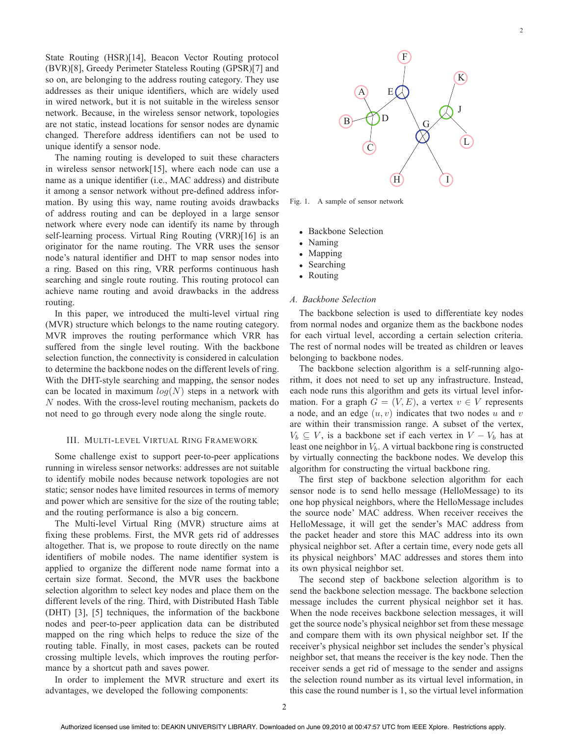State Routing (HSR)[14], Beacon Vector Routing protocol (BVR)[8], Greedy Perimeter Stateless Routing (GPSR)[7] and so on, are belonging to the address routing category. They use addresses as their unique identifiers, which are widely used in wired network, but it is not suitable in the wireless sensor network. Because, in the wireless sensor network, topologies are not static, instead locations for sensor nodes are dynamic changed. Therefore address identifiers can not be used to unique identify a sensor node.

The naming routing is developed to suit these characters in wireless sensor network $[15]$ , where each node can use a name as a unique identifier (i.e., MAC address) and distribute it among a sensor network without pre-defined address information. By using this way, name routing avoids drawbacks of address routing and can be deployed in a large sensor network where every node can identify its name by through self-learning process. Virtual Ring Routing (VRR)[16] is an originator for the name routing. The VRR uses the sensor node's natural identifier and DHT to map sensor nodes into a ring. Based on this ring, VRR performs continuous hash searching and single route routing. This routing protocol can achieve name routing and avoid drawbacks in the address routing.

In this paper, we introduced the multi-level virtual ring (MVR) structure which belongs to the name routing category. MVR improves the routing performance which VRR has suffered from the single level routing. With the backbone  $s$ election function, the connectivity is considered in calculation to determine the backbone nodes on the different levels of ring. With the DHT-style searching and mapping, the sensor nodes can be located in maximum  $log(N)$  steps in a network with  $N$  nodes. With the cross-level routing mechanism, packets do not need to go through every node along the single route.

## III. MULTI-LEVEL VIRTUAL RING FRAMEWORK

Some challenge exist to support peer-to-peer applications running in wireless sensor networks: addresses are not suitable to identify mobile nodes because network topologies are not static; sensor nodes have limited resources in terms of memory and power which are sensitive for the size of the routing table; and the routing performance is also a big concern.

The Multi-level Virtual Ring (MVR) structure aims at fixing these problems. First, the MVR gets rid of addresses altogether. That is, we propose to route directly on the name identifiers of mobile nodes. The name identifier system is applied to organize the different node name format into a certain size format. Second, the MVR uses the backbone selection algorithm to select key nodes and place them on the different levels of the ring. Third, with Distributed Hash Table  $(DHT)$  [3], [5] techniques, the information of the backbone nodes and peer-to-peer application data can be distributed mapped on the ring which helps to reduce the size of the routing table. Finally, in most cases, packets can be routed crossing multiple levels, which improves the routing performance by a shortcut path and saves power.

In order to implement the MVR structure and exert its advantages, we developed the following components:



Fig. 1. A sample of sensor network

- Backbone Selection
- Naming
- Mapping
- Searching
- Routing

## $A.$  *Backbone Selection*

The backbone selection is used to differentiate key nodes from normal nodes and organize them as the backbone nodes for each virtual level, according a certain selection criteria. The rest of normal nodes will be treated as children or leaves belonging to backbone nodes.

The backbone selection algorithm is a self-running algorithm, it does not need to set up any infrastructure. Instead, each node runs this algorithm and gets its virtual level information. For a graph  $G = (V, E)$ , a vertex  $v \in V$  represents a node, and an edge  $(u, v)$  indicates that two nodes u and v are within their transmission range. A subset of the vertex,  $V_b \subseteq V$ , is a backbone set if each vertex in  $V - V_b$  has at least one neighbor in  $V<sub>b</sub>$ . A virtual backbone ring is constructed by virtually connecting the backbone nodes. We develop this algorithm for constructing the virtual backbone ring.

The first step of backbone selection algorithm for each sensor node is to send hello message (HelloMessage) to its one hop physical neighbors, where the HelloMessage includes the source node' MAC address. When receiver receives the HelloMessage, it will get the sender's MAC address from the packet header and store this MAC address into its own physical neighbor set. After a certain time, every node gets all its physical neighbors' MAC addresses and stores them into its own physical neighbor set.

The second step of backbone selection algorithm is to send the backbone selection message. The backbone selection message includes the current physical neighbor set it has. When the node receives backbone selection messages, it will get the source node's physical neighbor set from these message and compare them with its own physical neighbor set. If the receiver's physical neighbor set includes the sender's physical neighbor set, that means the receiver is the key node. Then the receiver sends a get rid of message to the sender and assigns the selection round number as its virtual level information, in this case the round number is  $1$ , so the virtual level information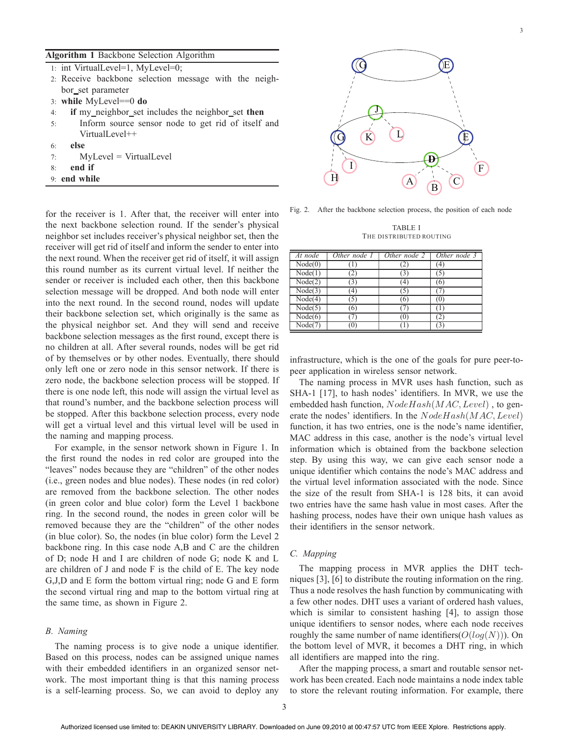**Algorithm 1 Backbone Selection Algorithm** 

| 1: int VirtualLevel=1, MyLevel=0;                              |
|----------------------------------------------------------------|
| 2. Receive backbone selection message with the neigh-          |
| bor_set parameter                                              |
| 3: while MyLevel= $=0$ do                                      |
| <b>if</b> my_neighbor_set includes the neighbor_set then<br>4: |
| Inform source sensor node to get rid of itself and<br>5:       |
| VirtualLevel <sup>++</sup>                                     |
| else<br>6:                                                     |
| $MyLevel = VirtualLevel$<br>7:                                 |
| end if<br>8:                                                   |
| $9:$ end while                                                 |
|                                                                |

for the receiver is 1. After that, the receiver will enter into the next backbone selection round. If the sender's physical neighbor set includes receiver's physical neighbor set, then the  $\alpha$  receiver will get rid of itself and inform the sender to enter into the next round. When the receiver get rid of itself, it will assign this round number as its current virtual level. If neither the sender or receiver is included each other, then this backbone selection message will be dropped. And both node will enter into the next round. In the second round, nodes will update their backbone selection set, which originally is the same as the physical neighbor set. And they will send and receive backbone selection messages as the first round, except there is no children at all. After several rounds, nodes will be get rid of by themselves or by other nodes. Eventually, there should only left one or zero node in this sensor network. If there is zero node, the backbone selection process will be stopped. If there is one node left, this node will assign the virtual level as that round's number, and the backbone selection process will be stopped. After this backbone selection process, every node will get a virtual level and this virtual level will be used in the naming and mapping process.

For example, in the sensor network shown in Figure 1. In the first round the nodes in red color are grouped into the "leaves" nodes because they are "children" of the other nodes  $(i.e., green nodes and blue nodes).$  These nodes  $(in red color)$ are removed from the backbone selection. The other nodes (in green color and blue color) form the Level 1 backbone ring. In the second round, the nodes in green color will be removed because they are the "children" of the other nodes (in blue color). So, the nodes (in blue color) form the Level 2 backbone ring. In this case node  $A,B$  and  $C$  are the children of D; node H and I are children of node G; node K and  $L$ are children of J and node F is the child of E. The key node  $G,J,D$  and  $E$  form the bottom virtual ring; node  $G$  and  $E$  form the second virtual ring and map to the bottom virtual ring at the same time, as shown in Figure 2.

## *B. Naming*

The naming process is to give node a unique identifier. Based on this process, nodes can be assigned unique names with their embedded identifiers in an organized sensor network. The most important thing is that this naming process is a self-learning process. So, we can avoid to deploy any



Fig. 2. After the backbone selection process, the position of each node

**TABLE I** THE DISTRIBUTED ROUTING

| At node | Other node 1 | Other node 2 | Other node 3 |
|---------|--------------|--------------|--------------|
| Node(0) |              |              | (4           |
| Node(1) | 21           | (3,          | (5           |
| Node(2) | 3)           | (4)          | (6           |
| Node(3) | 4)           | 5            |              |
| Node(4) | 5)           | (6)          | (0)          |
| Node(5) | (6)          |              |              |
| Node(6) |              | ( )          | 2.           |
| Node(7) |              |              |              |

infrastructure, which is the one of the goals for pure peer-topeer application in wireless sensor network.

The naming process in MVR uses hash function, such as SHA-1 [17], to hash nodes' identifiers. In MVR, we use the embedded hash function,  $NodeHash(MAC, Level)$ , to generate the nodes' identifiers. In the  $NodeHash(MAC, Level)$ function, it has two entries, one is the node's name identifier, MAC address in this case, another is the node's virtual level information which is obtained from the backbone selection step. By using this way, we can give each sensor node a unique identifier which contains the node's MAC address and the virtual level information associated with the node. Since the size of the result from SHA-1 is 128 bits, it can avoid two entries have the same hash value in most cases. After the hashing process, nodes have their own unique hash values as their identifiers in the sensor network.

## *C. Mapping*

The mapping process in MVR applies the DHT techniques  $[3]$ ,  $[6]$  to distribute the routing information on the ring. Thus a node resolves the hash function by communicating with a few other nodes. DHT uses a variant of ordered hash values, which is similar to consistent hashing  $[4]$ , to assign those unique identifiers to sensor nodes, where each node receives roughly the same number of name identifiers  $O(log(N))$ . On the bottom level of MVR, it becomes a DHT ring, in which all identifiers are mapped into the ring.

After the mapping process, a smart and routable sensor network has been created. Each node maintains a node index table to store the relevant routing information. For example, there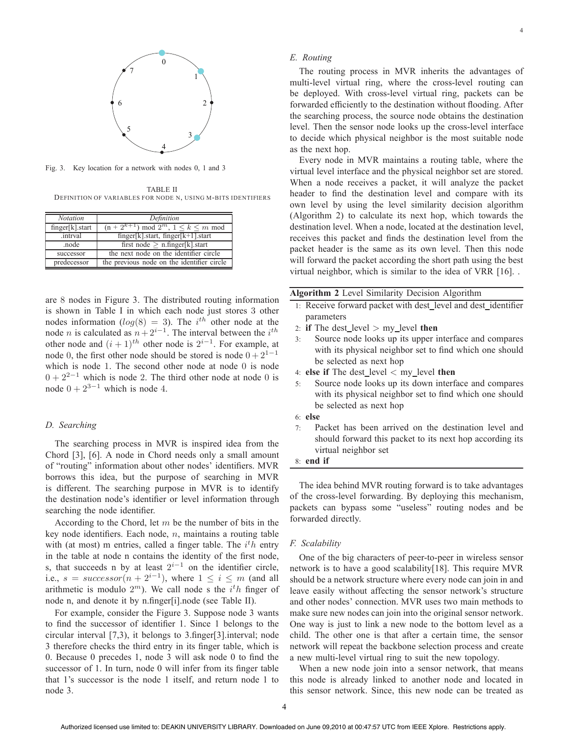

Fig. 3. Key location for a network with nodes 0, 1 and 3

**TABLE II** DEFINITION OF VARIABLES FOR NODE N, USING M-BITS IDENTIFIERS

| <b>Notation</b>     | Definition                                                 |
|---------------------|------------------------------------------------------------|
| $finger[k]$ . start | $(n+2^{k+1}) \mod 2^m, 1 \leq k \leq m \mod$               |
| intrval             | $f{\text{inger}}[k]$ .start, $f{\text{inger}}[k+1]$ .start |
| node.               | first node $\geq$ n.finger[k].start                        |
| successor           | the next node on the identifier circle                     |
| predecessor         | the previous node on the identifier circle                 |

are 8 nodes in Figure 3. The distributed routing information is shown in Table I in which each node just stores 3 other nodes information  $(log(8) = 3)$ . The i<sup>th</sup> other node at the node *n* is calculated as  $n + 2^{i-1}$ . The interval between the  $i^t$ other node and  $(i + 1)^{th}$  other node is  $2^{i-1}$ . For example, a node 0, the first other node should be stored is node  $0+2^{1-}$ which is node 1. The second other node at node  $0$  is nod  $0 + 2^{2-1}$  which is node 2. The third other node at node 0 i node  $0 + 2^{3-1}$  which is node 4.

## D. Searching

The searching process in MVR is inspired idea from the Chord [3], [6]. A node in Chord needs only a small amount of "routing" information about other nodes' identifiers. MVR borrows this idea, but the purpose of searching in MVR is different. The searching purpose in MVR is to identify the destination node's identifier or level information through searching the node identifier.

According to the Chord, let  $m$  be the number of bits in the key node identifiers. Each node,  $n$ , maintains a routing table with (at most) m entries, called a finger table. The  $i<sup>t</sup>h$  entry in the table at node n contains the identity of the first node, s, that succeeds n by at least  $2^{i-1}$  on the identifier circle, i.e.,  $s = successor(n + 2^{i-1})$ , where  $1 \leq i \leq m$  (and all arithmetic is modulo  $2^m$ ). We call node s the  $i^th$  finger of node n, and denote it by n.finger[i].node (see Table II).

For example, consider the Figure 3. Suppose node 3 wants to find the successor of identifier 1. Since 1 belongs to the circular interval  $[7,3)$ , it belongs to 3.finger $[3]$ .interval; node 3 therefore checks the third entry in its finger table, which is 0. Because 0 precedes 1, node 3 will ask node 0 to find the successor of 1. In turn, node 0 will infer from its finger table that 1's successor is the node 1 itself, and return node 1 to node 3.

#### E. Routing

The routing process in MVR inherits the advantages of multi-level virtual ring, where the cross-level routing can be deployed. With cross-level virtual ring, packets can be forwarded efficiently to the destination without flooding. After the searching process, the source node obtains the destination level. Then the sensor node looks up the cross-level interface to decide which physical neighbor is the most suitable node as the next hop.

Every node in MVR maintains a routing table, where the virtual level interface and the physical neighbor set are stored. When a node receives a packet, it will analyze the packet header to find the destination level and compare with its own level by using the level similarity decision algorithm (Algorithm 2) to calculate its next hop, which towards the destination level. When a node, located at the destination level, receives this packet and finds the destination level from the packet header is the same as its own level. Then this node will forward the packet according the short path using the best virtual neighbor, which is similar to the idea of VRR [16]...

|    | <b>Algorithm 2</b> Level Similarity Decision Algorithm        |
|----|---------------------------------------------------------------|
|    | 1. Receive forward packet with dest_level and dest_identifier |
|    | parameters                                                    |
|    | 2: if The dest_level $>$ my_level then                        |
| 3: | Source node looks up its upper interface and compares         |
|    | with its physical neighbor set to find which one should       |
|    | be selected as next hop                                       |
|    | 4: else if The dest_level $\lt$ my_level then                 |
| 5: | Source node looks up its down interface and compares          |
|    | with its physical neighbor set to find which one should       |
|    | be selected as next hop                                       |
|    | $6:$ else                                                     |
|    | Packet has been arrived on the destination level and          |
|    |                                                               |

- should forward this packet to its next hop according its virtual neighbor set
- 8: end if

The idea behind MVR routing forward is to take advantages of the cross-level forwarding. By deploying this mechanism, packets can bypass some "useless" routing nodes and be forwarded directly.

## F. Scalability

One of the big characters of peer-to-peer in wireless sensor network is to have a good scalability[18]. This require MVR should be a network structure where every node can join in and leave easily without affecting the sensor network's structure and other nodes' connection. MVR uses two main methods to make sure new nodes can join into the original sensor network. One way is just to link a new node to the bottom level as a child. The other one is that after a certain time, the sensor network will repeat the backbone selection process and create a new multi-level virtual ring to suit the new topology.

When a new node join into a sensor network, that means this node is already linked to another node and located in this sensor network. Since, this new node can be treated as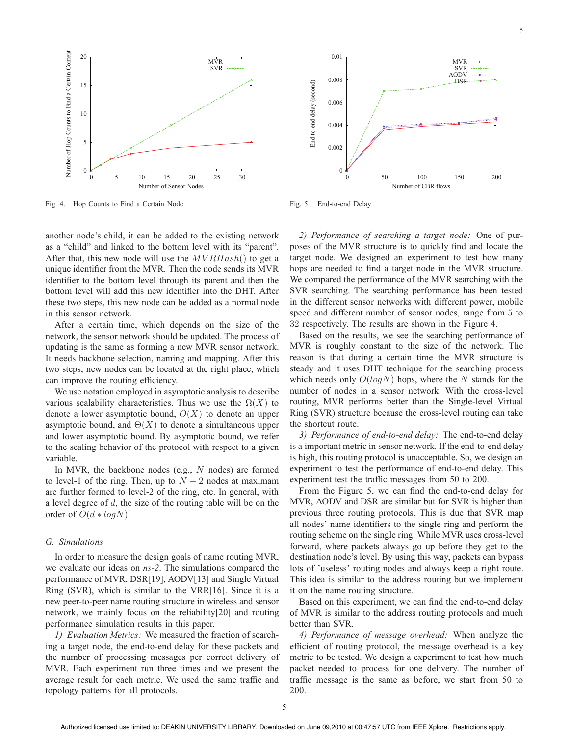

Fig. 4. Hop Counts to Find a Certain Node

another node's child, it can be added to the existing network as a "child" and linked to the bottom level with its "parent". After that, this new node will use the  $MVRHash()$  to get a unique identifier from the MVR. Then the node sends its MVR identifier to the bottom level through its parent and then the bottom level will add this new identifier into the DHT. After these two steps, this new node can be added as a normal node in this sensor network.

After a certain time, which depends on the size of the network, the sensor network should be updated. The process of updating is the same as forming a new MVR sensor network. It needs backbone selection, naming and mapping. After this two steps, new nodes can be located at the right place, which can improve the routing efficiency.

We use notation employed in asymptotic analysis to describe various scalability characteristics. Thus we use the  $\Omega(X)$  to denote a lower asymptotic bound,  $O(X)$  to denote an upper asymptotic bound, and  $\Theta(X)$  to denote a simultaneous upper and lower asymptotic bound. By asymptotic bound, we refer to the scaling behavior of the protocol with respect to a given variable.

In MVR, the backbone nodes (e.g.,  $N$  nodes) are formed to level-1 of the ring. Then, up to  $N-2$  nodes at maximam are further formed to level-2 of the ring, etc. In general, with a level degree of  $d$ , the size of the routing table will be on the order of  $O(d * log N)$ .

# *G.* Simulations

In order to measure the design goals of name routing MVR, we evaluate our ideas on *ns-2*. The simulations compared the performance of MVR, DSR[19], AODV[13] and Single Virtual Ring (SVR), which is similar to the VRR $[16]$ . Since it is a new peer-to-peer name routing structure in wireless and sensor network, we mainly focus on the reliability[20] and routing performance simulation results in this paper.

*1) Evaluation Metrics:* We measured the fraction of searching a target node, the end-to-end delay for these packets and the number of processing messages per correct delivery of MVR. Each experiment run three times and we present the average result for each metric. We used the same traffic and topology patterns for all protocols.



Fig. 5. End-to-end Delay

2) Performance of searching a target node: One of purposes of the MVR structure is to quickly find and locate the target node. We designed an experiment to test how many hops are needed to find a target node in the MVR structure. We compared the performance of the MVR searching with the SVR searching. The searching performance has been tested in the different sensor networks with different power, mobile speed and different number of sensor nodes, range from 5 to 32 respectively. The results are shown in the Figure 4.

Based on the results, we see the searching performance of MVR is roughly constant to the size of the network. The reason is that during a certain time the MVR structure is steady and it uses DHT technique for the searching process which needs only  $O(logN)$  hops, where the N stands for the number of nodes in a sensor network. With the cross-level routing, MVR performs better than the Single-level Virtual Ring (SVR) structure because the cross-level routing can take the shortcut route.

3) Performance of end-to-end delay: The end-to-end delay is a important metric in sensor network. If the end-to-end delay is high, this routing protocol is unacceptable. So, we design an experiment to test the performance of end-to-end delay. This experiment test the traffic messages from 50 to 200.

From the Figure 5, we can find the end-to-end delay for MVR, AODV and DSR are similar but for SVR is higher than previous three routing protocols. This is due that SVR map all nodes' name identifiers to the single ring and perform the routing scheme on the single ring. While MVR uses cross-level forward, where packets always go up before they get to the destination node's level. By using this way, packets can bypass lots of 'useless' routing nodes and always keep a right route. This idea is similar to the address routing but we implement it on the name routing structure.

Based on this experiment, we can find the end-to-end delay of MVR is similar to the address routing protocols and much better than SVR.

4) Performance of message overhead: When analyze the efficient of routing protocol, the message overhead is a key metric to be tested. We design a experiment to test how much packet needed to process for one delivery. The number of traffic message is the same as before, we start from 50 to 200.